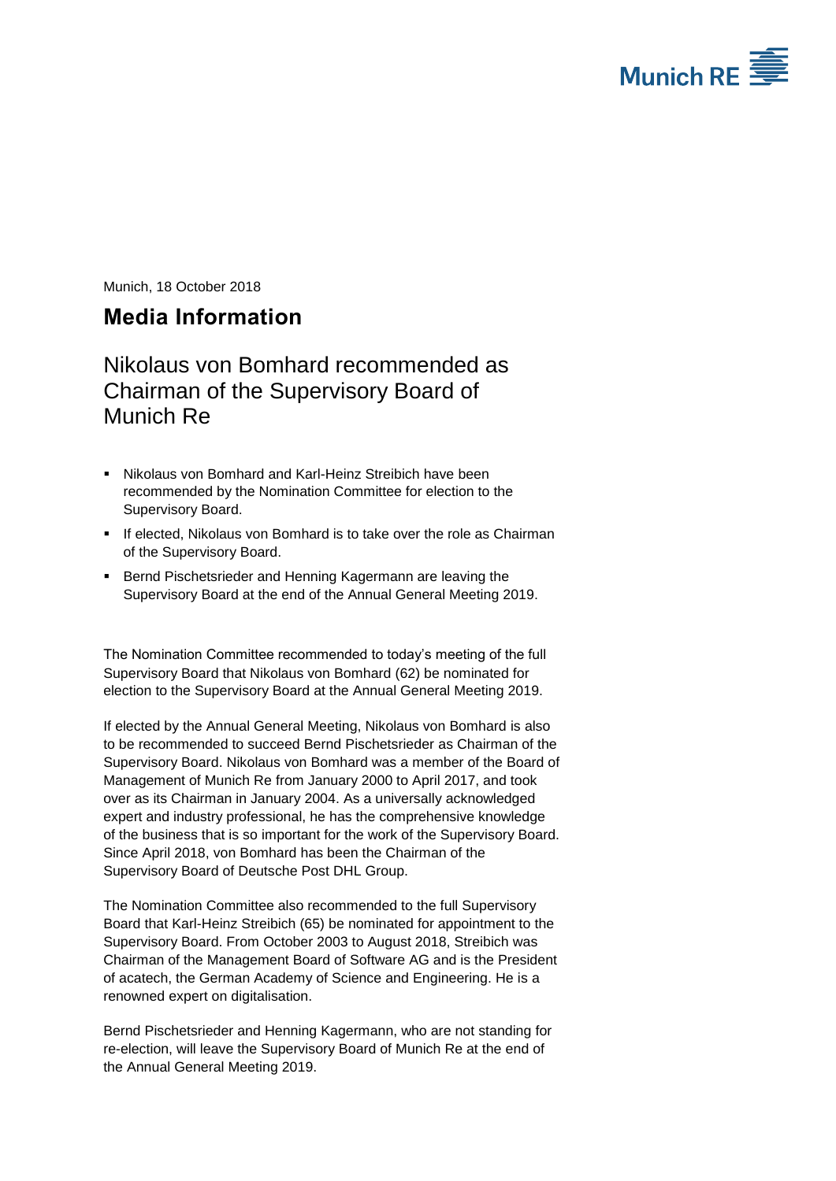

Munich, 18 October 2018

## <span id="page-0-0"></span>**Media Information**

Nikolaus von Bomhard recommended as Chairman of the Supervisory Board of Munich Re

- Nikolaus von Bomhard and Karl-Heinz Streibich have been recommended by the Nomination Committee for election to the Supervisory Board.
- If elected, Nikolaus von Bomhard is to take over the role as Chairman of the Supervisory Board.
- **Bernd Pischetsrieder and Henning Kagermann are leaving the** Supervisory Board at the end of the Annual General Meeting 2019.

The Nomination Committee recommended to today's meeting of the full Supervisory Board that Nikolaus von Bomhard (62) be nominated for election to the Supervisory Board at the Annual General Meeting 2019.

If elected by the Annual General Meeting, Nikolaus von Bomhard is also to be recommended to succeed Bernd Pischetsrieder as Chairman of the Supervisory Board. Nikolaus von Bomhard was a member of the Board of Management of Munich Re from January 2000 to April 2017, and took over as its Chairman in January 2004. As a universally acknowledged expert and industry professional, he has the comprehensive knowledge of the business that is so important for the work of the Supervisory Board. Since April 2018, von Bomhard has been the Chairman of the Supervisory Board of Deutsche Post DHL Group.

The Nomination Committee also recommended to the full Supervisory Board that Karl-Heinz Streibich (65) be nominated for appointment to the Supervisory Board. From October 2003 to August 2018, Streibich was Chairman of the Management Board of Software AG and is the President of acatech, the German Academy of Science and Engineering. He is a renowned expert on digitalisation.

Bernd Pischetsrieder and Henning Kagermann, who are not standing for re-election, will leave the Supervisory Board of Munich Re at the end of the Annual General Meeting 2019.